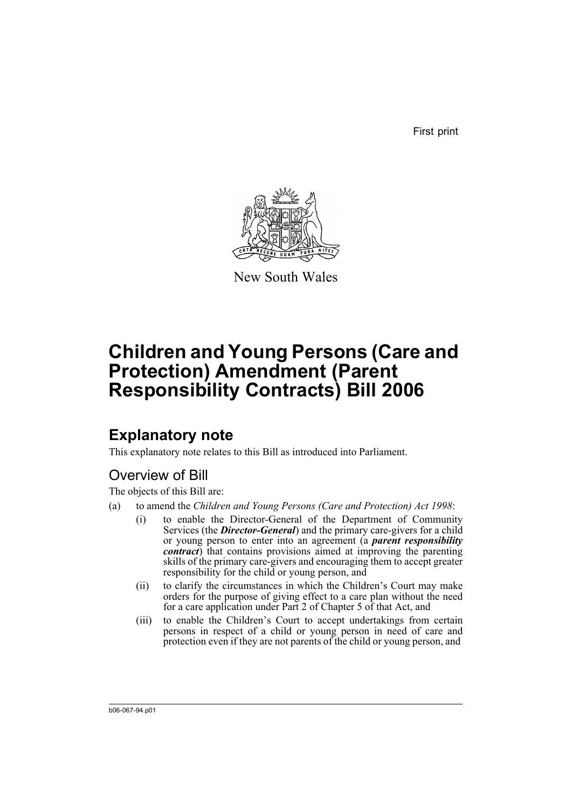First print



New South Wales

# **Children and Young Persons (Care and Protection) Amendment (Parent Responsibility Contracts) Bill 2006**

# **Explanatory note**

This explanatory note relates to this Bill as introduced into Parliament.

## Overview of Bill

The objects of this Bill are:

- (a) to amend the *Children and Young Persons (Care and Protection) Act 1998*:
	- (i) to enable the Director-General of the Department of Community Services (the *Director-General*) and the primary care-givers for a child or young person to enter into an agreement (a *parent responsibility contract*) that contains provisions aimed at improving the parenting skills of the primary care-givers and encouraging them to accept greater responsibility for the child or young person, and
	- (ii) to clarify the circumstances in which the Children's Court may make orders for the purpose of giving effect to a care plan without the need for a care application under Part 2 of Chapter 5 of that Act, and
	- (iii) to enable the Children's Court to accept undertakings from certain persons in respect of a child or young person in need of care and protection even if they are not parents of the child or young person, and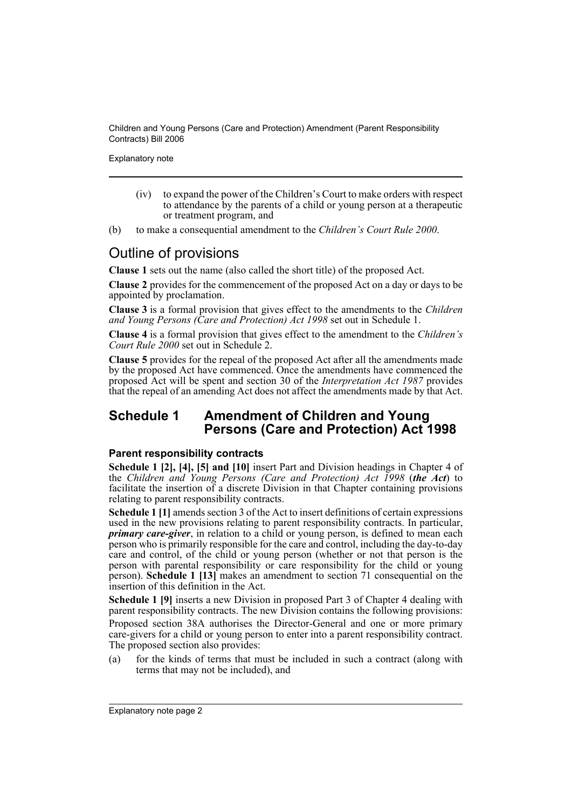Explanatory note

- (iv) to expand the power of the Children's Court to make orders with respect to attendance by the parents of a child or young person at a therapeutic or treatment program, and
- (b) to make a consequential amendment to the *Children's Court Rule 2000*.

## Outline of provisions

**Clause 1** sets out the name (also called the short title) of the proposed Act.

**Clause 2** provides for the commencement of the proposed Act on a day or days to be appointed by proclamation.

**Clause 3** is a formal provision that gives effect to the amendments to the *Children and Young Persons (Care and Protection) Act 1998* set out in Schedule 1.

**Clause 4** is a formal provision that gives effect to the amendment to the *Children's Court Rule 2000* set out in Schedule 2.

**Clause 5** provides for the repeal of the proposed Act after all the amendments made by the proposed Act have commenced. Once the amendments have commenced the proposed Act will be spent and section 30 of the *Interpretation Act 1987* provides that the repeal of an amending Act does not affect the amendments made by that Act.

## **Schedule 1 Amendment of Children and Young Persons (Care and Protection) Act 1998**

## **Parent responsibility contracts**

**Schedule 1 [2], [4], [5] and [10]** insert Part and Division headings in Chapter 4 of the *Children and Young Persons (Care and Protection) Act 1998* (*the Act*) to facilitate the insertion of a discrete Division in that Chapter containing provisions relating to parent responsibility contracts.

**Schedule 1 [1]** amends section 3 of the Act to insert definitions of certain expressions used in the new provisions relating to parent responsibility contracts. In particular, *primary care-giver*, in relation to a child or young person, is defined to mean each person who is primarily responsible for the care and control, including the day-to-day care and control, of the child or young person (whether or not that person is the person with parental responsibility or care responsibility for the child or young person). **Schedule 1 [13]** makes an amendment to section 71 consequential on the insertion of this definition in the Act.

**Schedule 1 [9]** inserts a new Division in proposed Part 3 of Chapter 4 dealing with parent responsibility contracts. The new Division contains the following provisions:

Proposed section 38A authorises the Director-General and one or more primary care-givers for a child or young person to enter into a parent responsibility contract. The proposed section also provides:

(a) for the kinds of terms that must be included in such a contract (along with terms that may not be included), and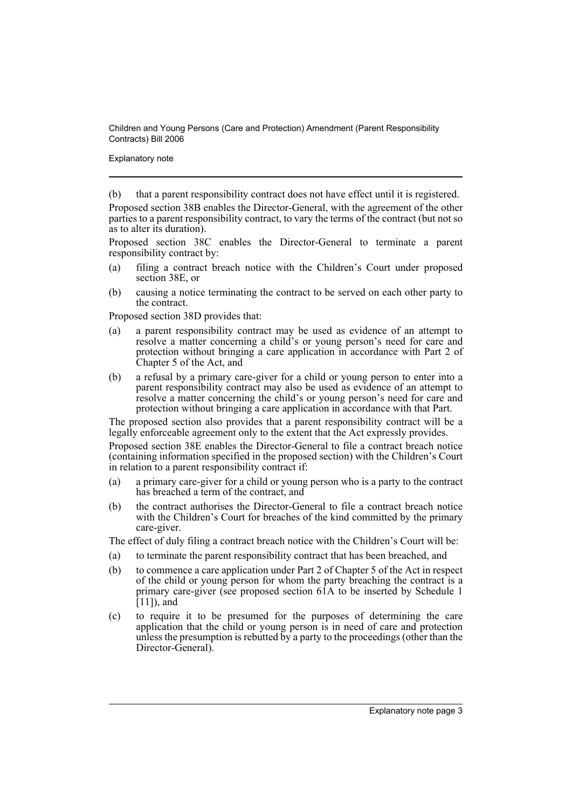Explanatory note

(b) that a parent responsibility contract does not have effect until it is registered.

Proposed section 38B enables the Director-General, with the agreement of the other parties to a parent responsibility contract, to vary the terms of the contract (but not so as to alter its duration).

Proposed section 38C enables the Director-General to terminate a parent responsibility contract by:

- (a) filing a contract breach notice with the Children's Court under proposed section 38E, or
- (b) causing a notice terminating the contract to be served on each other party to the contract.

Proposed section 38D provides that:

- (a) a parent responsibility contract may be used as evidence of an attempt to resolve a matter concerning a child's or young person's need for care and protection without bringing a care application in accordance with Part 2 of Chapter 5 of the Act, and
- (b) a refusal by a primary care-giver for a child or young person to enter into a parent responsibility contract may also be used as evidence of an attempt to resolve a matter concerning the child's or young person's need for care and protection without bringing a care application in accordance with that Part.

The proposed section also provides that a parent responsibility contract will be a legally enforceable agreement only to the extent that the Act expressly provides.

Proposed section 38E enables the Director-General to file a contract breach notice (containing information specified in the proposed section) with the Children's Court in relation to a parent responsibility contract if:

- (a) a primary care-giver for a child or young person who is a party to the contract has breached a term of the contract, and
- (b) the contract authorises the Director-General to file a contract breach notice with the Children's Court for breaches of the kind committed by the primary care-giver.

The effect of duly filing a contract breach notice with the Children's Court will be:

- (a) to terminate the parent responsibility contract that has been breached, and
- (b) to commence a care application under Part 2 of Chapter 5 of the Act in respect of the child or young person for whom the party breaching the contract is a primary care-giver (see proposed section 61A to be inserted by Schedule 1  $[11]$ , and
- (c) to require it to be presumed for the purposes of determining the care application that the child or young person is in need of care and protection unless the presumption is rebutted by a party to the proceedings (other than the Director-General).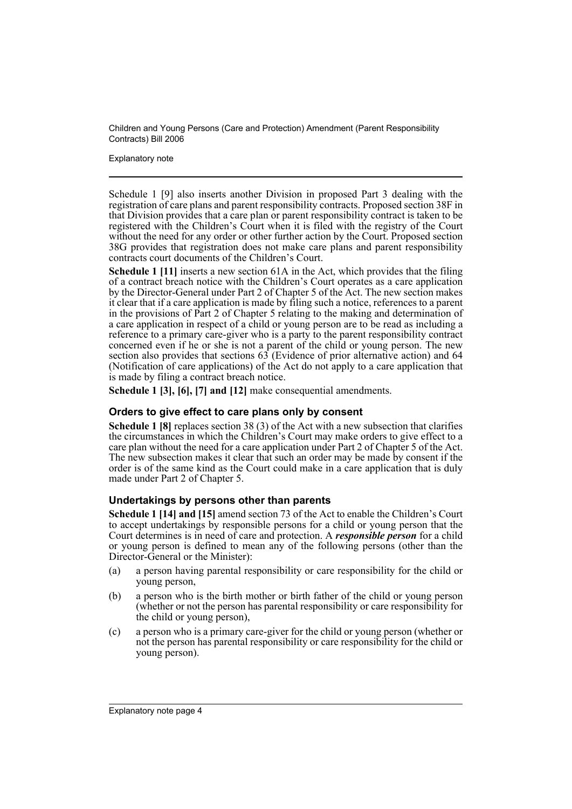Explanatory note

Schedule 1 [9] also inserts another Division in proposed Part 3 dealing with the registration of care plans and parent responsibility contracts. Proposed section 38F in that Division provides that a care plan or parent responsibility contract is taken to be registered with the Children's Court when it is filed with the registry of the Court without the need for any order or other further action by the Court. Proposed section 38G provides that registration does not make care plans and parent responsibility contracts court documents of the Children's Court.

**Schedule 1 [11]** inserts a new section 61A in the Act, which provides that the filing of a contract breach notice with the Children's Court operates as a care application by the Director-General under Part 2 of Chapter 5 of the Act. The new section makes it clear that if a care application is made by filing such a notice, references to a parent in the provisions of Part 2 of Chapter 5 relating to the making and determination of a care application in respect of a child or young person are to be read as including a reference to a primary care-giver who is a party to the parent responsibility contract concerned even if he or she is not a parent of the child or young person. The new section also provides that sections  $63$  (Evidence of prior alternative action) and  $64$ (Notification of care applications) of the Act do not apply to a care application that is made by filing a contract breach notice.

**Schedule 1 [3], [6], [7] and [12]** make consequential amendments.

## **Orders to give effect to care plans only by consent**

**Schedule 1 [8]** replaces section 38 (3) of the Act with a new subsection that clarifies the circumstances in which the Children's Court may make orders to give effect to a care plan without the need for a care application under Part 2 of Chapter 5 of the Act. The new subsection makes it clear that such an order may be made by consent if the order is of the same kind as the Court could make in a care application that is duly made under Part 2 of Chapter 5.

## **Undertakings by persons other than parents**

**Schedule 1 [14] and [15]** amend section 73 of the Act to enable the Children's Court to accept undertakings by responsible persons for a child or young person that the Court determines is in need of care and protection. A *responsible person* for a child or young person is defined to mean any of the following persons (other than the Director-General or the Minister):

- (a) a person having parental responsibility or care responsibility for the child or young person,
- (b) a person who is the birth mother or birth father of the child or young person (whether or not the person has parental responsibility or care responsibility for the child or young person),
- (c) a person who is a primary care-giver for the child or young person (whether or not the person has parental responsibility or care responsibility for the child or young person).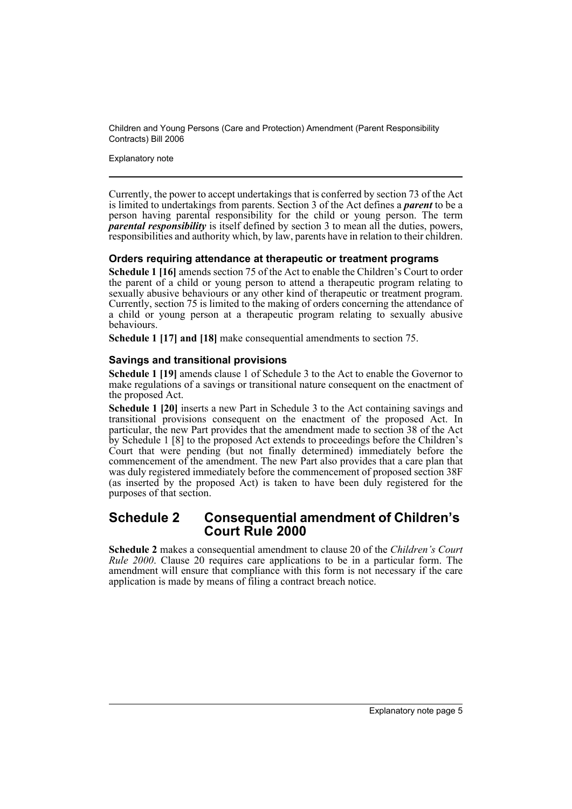Explanatory note

Currently, the power to accept undertakings that is conferred by section 73 of the Act is limited to undertakings from parents. Section 3 of the Act defines a *parent* to be a person having parental responsibility for the child or young person. The term *parental responsibility* is itself defined by section 3 to mean all the duties, powers, responsibilities and authority which, by law, parents have in relation to their children.

## **Orders requiring attendance at therapeutic or treatment programs**

**Schedule 1 [16]** amends section 75 of the Act to enable the Children's Court to order the parent of a child or young person to attend a therapeutic program relating to sexually abusive behaviours or any other kind of therapeutic or treatment program. Currently, section 75 is limited to the making of orders concerning the attendance of a child or young person at a therapeutic program relating to sexually abusive behaviours.

**Schedule 1 [17] and [18]** make consequential amendments to section 75.

### **Savings and transitional provisions**

**Schedule 1 [19]** amends clause 1 of Schedule 3 to the Act to enable the Governor to make regulations of a savings or transitional nature consequent on the enactment of the proposed Act.

**Schedule 1 [20]** inserts a new Part in Schedule 3 to the Act containing savings and transitional provisions consequent on the enactment of the proposed Act. In particular, the new Part provides that the amendment made to section 38 of the Act by Schedule 1 [8] to the proposed Act extends to proceedings before the Children's Court that were pending (but not finally determined) immediately before the commencement of the amendment. The new Part also provides that a care plan that was duly registered immediately before the commencement of proposed section 38F (as inserted by the proposed Act) is taken to have been duly registered for the purposes of that section.

## **Schedule 2 Consequential amendment of Children's Court Rule 2000**

**Schedule 2** makes a consequential amendment to clause 20 of the *Children's Court Rule 2000*. Clause 20 requires care applications to be in a particular form. The amendment will ensure that compliance with this form is not necessary if the care application is made by means of filing a contract breach notice.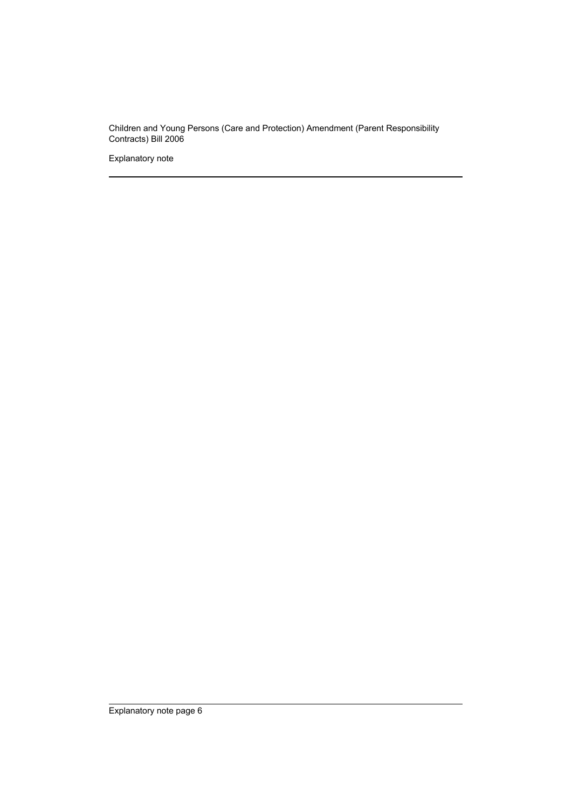Explanatory note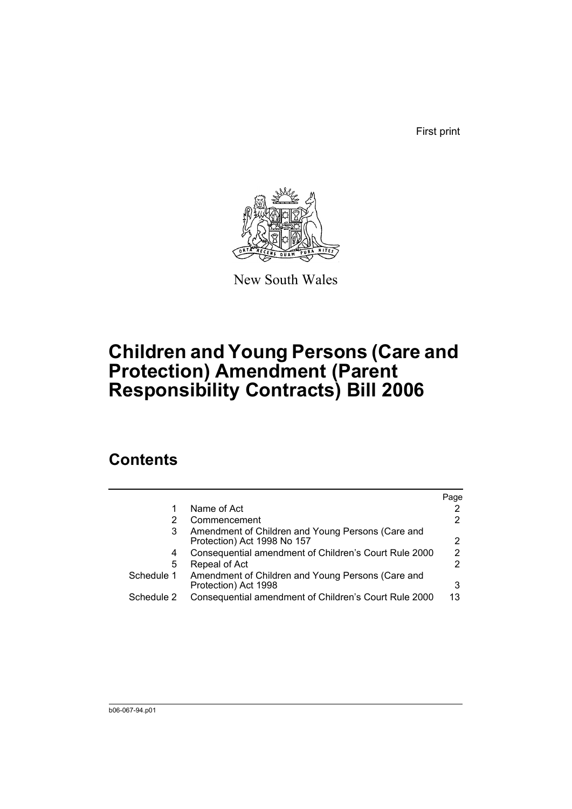First print



New South Wales

# **Children and Young Persons (Care and Protection) Amendment (Parent Responsibility Contracts) Bill 2006**

# **Contents**

|            |                                                                                  | Page |
|------------|----------------------------------------------------------------------------------|------|
|            | Name of Act                                                                      |      |
|            | Commencement                                                                     |      |
| 3          | Amendment of Children and Young Persons (Care and<br>Protection) Act 1998 No 157 | 2    |
| 4          | Consequential amendment of Children's Court Rule 2000                            | 2    |
| 5          | Repeal of Act                                                                    | 2    |
| Schedule 1 | Amendment of Children and Young Persons (Care and<br>Protection) Act 1998        | 3    |
| Schedule 2 | Consequential amendment of Children's Court Rule 2000                            | 13   |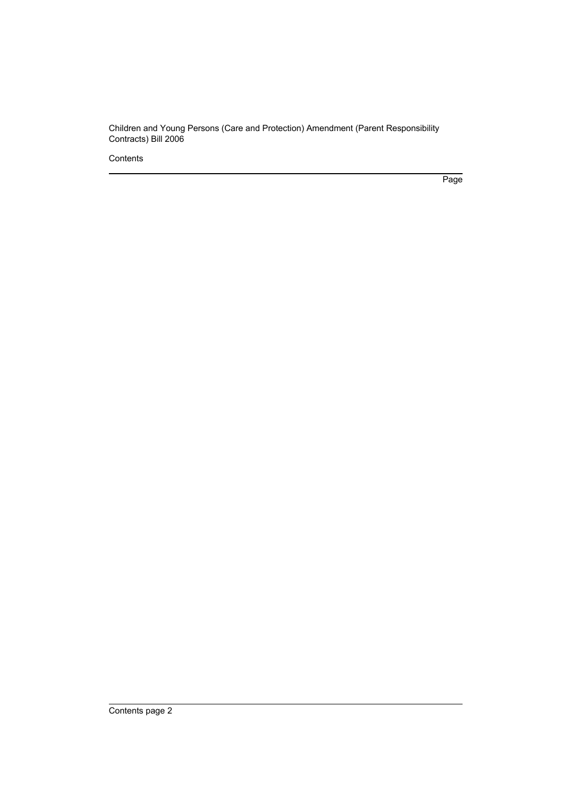Contents

Page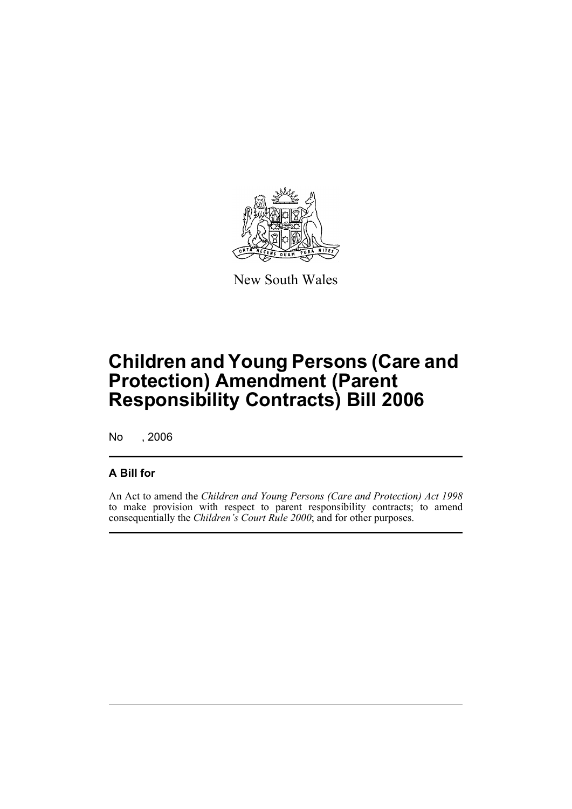

New South Wales

# **Children and Young Persons (Care and Protection) Amendment (Parent Responsibility Contracts) Bill 2006**

No , 2006

## **A Bill for**

An Act to amend the *Children and Young Persons (Care and Protection) Act 1998* to make provision with respect to parent responsibility contracts; to amend consequentially the *Children's Court Rule 2000*; and for other purposes.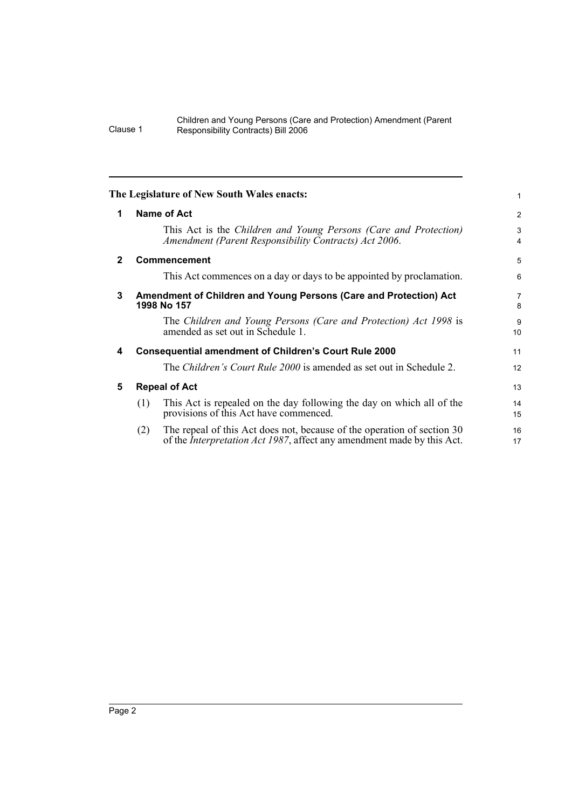<span id="page-9-4"></span><span id="page-9-3"></span><span id="page-9-2"></span><span id="page-9-1"></span><span id="page-9-0"></span>

|             |                                                                                  | The Legislature of New South Wales enacts:                                                                                                                | 1                            |  |  |  |  |  |
|-------------|----------------------------------------------------------------------------------|-----------------------------------------------------------------------------------------------------------------------------------------------------------|------------------------------|--|--|--|--|--|
| 1           | Name of Act                                                                      |                                                                                                                                                           |                              |  |  |  |  |  |
|             |                                                                                  | This Act is the Children and Young Persons (Care and Protection)<br>Amendment (Parent Responsibility Contracts) Act 2006.                                 | 3<br>$\overline{\mathbf{4}}$ |  |  |  |  |  |
| $\mathbf 2$ |                                                                                  | <b>Commencement</b>                                                                                                                                       | 5                            |  |  |  |  |  |
|             |                                                                                  | This Act commences on a day or days to be appointed by proclamation.                                                                                      | 6                            |  |  |  |  |  |
| 3           | Amendment of Children and Young Persons (Care and Protection) Act<br>1998 No 157 |                                                                                                                                                           |                              |  |  |  |  |  |
|             |                                                                                  | The Children and Young Persons (Care and Protection) Act 1998 is<br>amended as set out in Schedule 1.                                                     | 9<br>10                      |  |  |  |  |  |
| 4           |                                                                                  | <b>Consequential amendment of Children's Court Rule 2000</b>                                                                                              | 11                           |  |  |  |  |  |
|             |                                                                                  | The <i>Children's Court Rule 2000</i> is amended as set out in Schedule 2.                                                                                | 12                           |  |  |  |  |  |
| 5           |                                                                                  | <b>Repeal of Act</b>                                                                                                                                      | 13                           |  |  |  |  |  |
|             | (1)                                                                              | This Act is repealed on the day following the day on which all of the<br>provisions of this Act have commenced.                                           | 14<br>15                     |  |  |  |  |  |
|             | (2)                                                                              | The repeal of this Act does not, because of the operation of section 30<br>of the <i>Interpretation Act 1987</i> , affect any amendment made by this Act. | 16<br>17                     |  |  |  |  |  |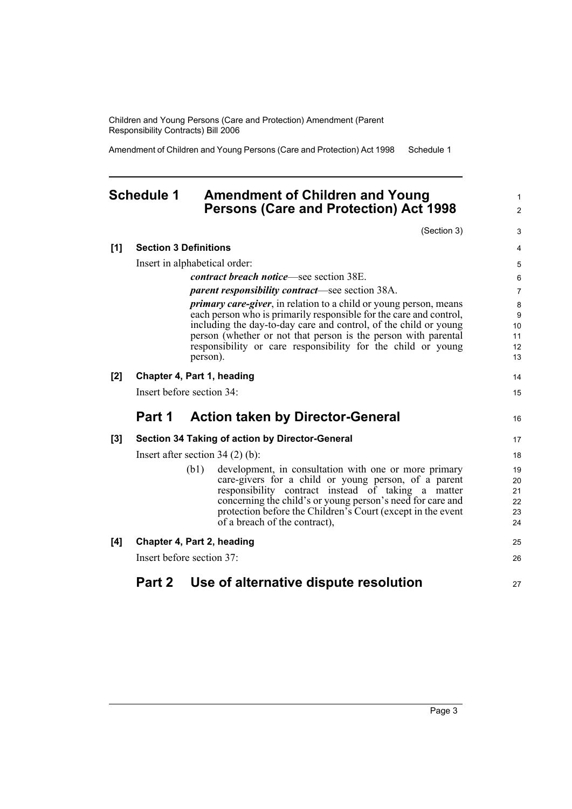Amendment of Children and Young Persons (Care and Protection) Act 1998 Schedule 1

## <span id="page-10-0"></span>**Schedule 1 Amendment of Children and Young Persons (Care and Protection) Act 1998**

(Section 3)

1 2

|     | (Section 3)                                                                                                                                                                                                                                                                                                                                                       | 3                                |
|-----|-------------------------------------------------------------------------------------------------------------------------------------------------------------------------------------------------------------------------------------------------------------------------------------------------------------------------------------------------------------------|----------------------------------|
| [1] | <b>Section 3 Definitions</b>                                                                                                                                                                                                                                                                                                                                      | 4                                |
|     | Insert in alphabetical order:                                                                                                                                                                                                                                                                                                                                     | $\sqrt{5}$                       |
|     | <i>contract breach notice—see section 38E.</i>                                                                                                                                                                                                                                                                                                                    | 6                                |
|     | <i>parent responsibility contract</i> —see section 38A.                                                                                                                                                                                                                                                                                                           | $\overline{7}$                   |
|     | <i>primary care-giver</i> , in relation to a child or young person, means<br>each person who is primarily responsible for the care and control,<br>including the day-to-day care and control, of the child or young<br>person (whether or not that person is the person with parental<br>responsibility or care responsibility for the child or young<br>person). | 8<br>9<br>10<br>11<br>12<br>13   |
| [2] | Chapter 4, Part 1, heading                                                                                                                                                                                                                                                                                                                                        | 14                               |
|     | Insert before section 34:                                                                                                                                                                                                                                                                                                                                         | 15                               |
|     | <b>Action taken by Director-General</b><br>Part 1                                                                                                                                                                                                                                                                                                                 | 16                               |
| [3] | Section 34 Taking of action by Director-General                                                                                                                                                                                                                                                                                                                   | 17                               |
|     | Insert after section $34(2)$ (b):                                                                                                                                                                                                                                                                                                                                 | 18                               |
|     | development, in consultation with one or more primary<br>(b1)<br>care-givers for a child or young person, of a parent<br>responsibility contract instead of taking a matter<br>concerning the child's or young person's need for care and<br>protection before the Children's Court (except in the event<br>of a breach of the contract),                         | 19<br>20<br>21<br>22<br>23<br>24 |
| [4] | Chapter 4, Part 2, heading                                                                                                                                                                                                                                                                                                                                        | 25                               |
|     | Insert before section 37:                                                                                                                                                                                                                                                                                                                                         | 26                               |
|     | Use of alternative dispute resolution<br>Part 2                                                                                                                                                                                                                                                                                                                   | 27                               |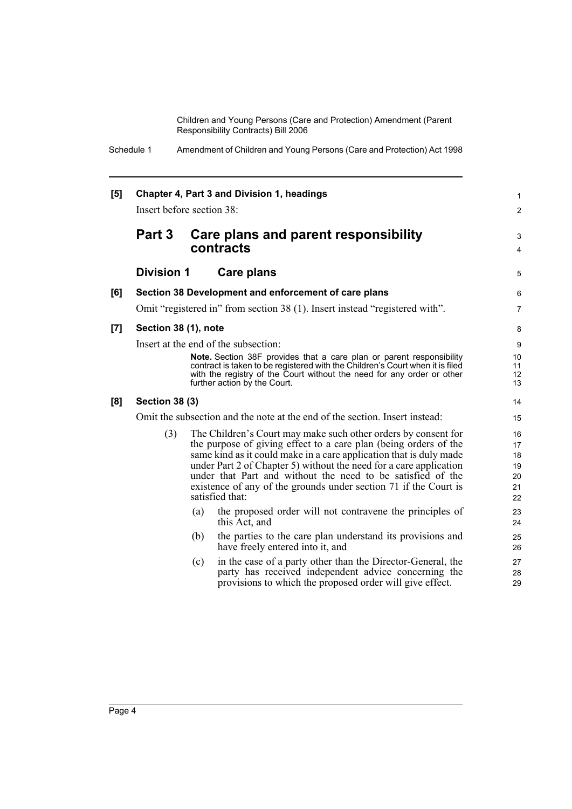Schedule 1 Amendment of Children and Young Persons (Care and Protection) Act 1998

| [5] | Chapter 4, Part 3 and Division 1, headings<br>Insert before section 38:     |     |                                                                                                                                                                                                                                                                                                                                                                                                                                      |                                        |  |
|-----|-----------------------------------------------------------------------------|-----|--------------------------------------------------------------------------------------------------------------------------------------------------------------------------------------------------------------------------------------------------------------------------------------------------------------------------------------------------------------------------------------------------------------------------------------|----------------------------------------|--|
|     | Part 3                                                                      |     | Care plans and parent responsibility<br>contracts                                                                                                                                                                                                                                                                                                                                                                                    | 3<br>$\overline{4}$                    |  |
|     | <b>Division 1</b>                                                           |     | Care plans                                                                                                                                                                                                                                                                                                                                                                                                                           | 5                                      |  |
| [6] |                                                                             |     | Section 38 Development and enforcement of care plans                                                                                                                                                                                                                                                                                                                                                                                 | 6                                      |  |
|     |                                                                             |     | Omit "registered in" from section 38 (1). Insert instead "registered with".                                                                                                                                                                                                                                                                                                                                                          | $\overline{7}$                         |  |
| [7] | Section 38 (1), note                                                        |     |                                                                                                                                                                                                                                                                                                                                                                                                                                      | 8                                      |  |
|     |                                                                             |     | Insert at the end of the subsection:<br>Note. Section 38F provides that a care plan or parent responsibility<br>contract is taken to be registered with the Children's Court when it is filed<br>with the registry of the Court without the need for any order or other<br>further action by the Court.                                                                                                                              | 9<br>10<br>11<br>12<br>13              |  |
| [8] | <b>Section 38 (3)</b>                                                       |     |                                                                                                                                                                                                                                                                                                                                                                                                                                      | 14                                     |  |
|     | Omit the subsection and the note at the end of the section. Insert instead: |     |                                                                                                                                                                                                                                                                                                                                                                                                                                      |                                        |  |
|     | (3)                                                                         |     | The Children's Court may make such other orders by consent for<br>the purpose of giving effect to a care plan (being orders of the<br>same kind as it could make in a care application that is duly made<br>under Part 2 of Chapter 5) without the need for a care application<br>under that Part and without the need to be satisfied of the<br>existence of any of the grounds under section 71 if the Court is<br>satisfied that: | 16<br>17<br>18<br>19<br>20<br>21<br>22 |  |
|     |                                                                             | (a) | the proposed order will not contravene the principles of<br>this Act, and                                                                                                                                                                                                                                                                                                                                                            | 23<br>24                               |  |
|     |                                                                             | (b) | the parties to the care plan understand its provisions and<br>have freely entered into it, and                                                                                                                                                                                                                                                                                                                                       | 25<br>26                               |  |
|     |                                                                             | (c) | in the case of a party other than the Director-General, the<br>party has received independent advice concerning the<br>provisions to which the proposed order will give effect.                                                                                                                                                                                                                                                      | 27<br>28<br>29                         |  |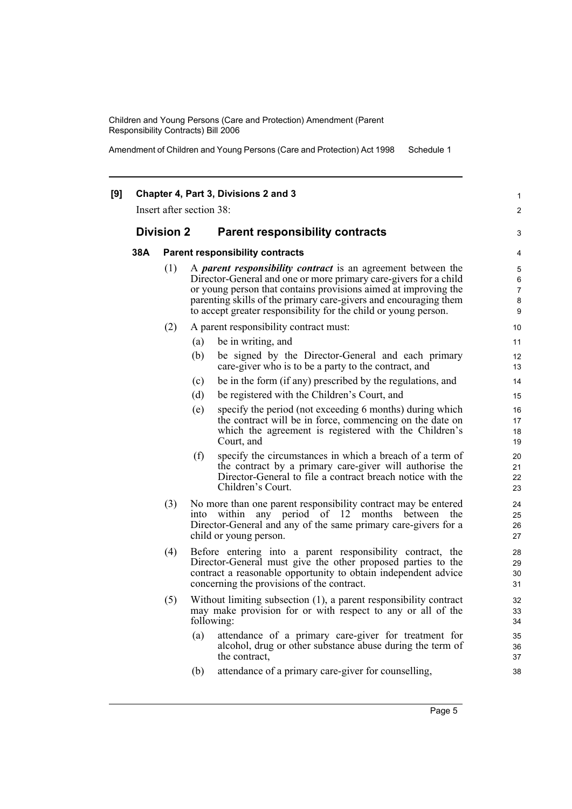Amendment of Children and Young Persons (Care and Protection) Act 1998 Schedule 1

| [9] | Chapter 4, Part 3, Divisions 2 and 3<br>Insert after section 38: |     |        | 1                                                                                                                                                                                                                                                                                                                                                 |                                    |
|-----|------------------------------------------------------------------|-----|--------|---------------------------------------------------------------------------------------------------------------------------------------------------------------------------------------------------------------------------------------------------------------------------------------------------------------------------------------------------|------------------------------------|
|     |                                                                  |     |        |                                                                                                                                                                                                                                                                                                                                                   | 2                                  |
|     | <b>Division 2</b>                                                |     |        | <b>Parent responsibility contracts</b>                                                                                                                                                                                                                                                                                                            | 3                                  |
|     | 38A                                                              |     |        | <b>Parent responsibility contracts</b>                                                                                                                                                                                                                                                                                                            | 4                                  |
|     | (1)                                                              |     |        | A <i>parent responsibility contract</i> is an agreement between the<br>Director-General and one or more primary care-givers for a child<br>or young person that contains provisions aimed at improving the<br>parenting skills of the primary care-givers and encouraging them<br>to accept greater responsibility for the child or young person. | 5<br>6<br>$\overline{7}$<br>8<br>9 |
|     |                                                                  | (2) |        | A parent responsibility contract must:                                                                                                                                                                                                                                                                                                            | 10                                 |
|     |                                                                  |     | (a)    | be in writing, and                                                                                                                                                                                                                                                                                                                                | 11                                 |
|     |                                                                  |     | (b)    | be signed by the Director-General and each primary<br>care-giver who is to be a party to the contract, and                                                                                                                                                                                                                                        | 12<br>13                           |
|     |                                                                  |     | (c)    | be in the form (if any) prescribed by the regulations, and                                                                                                                                                                                                                                                                                        | 14                                 |
|     |                                                                  |     | (d)    | be registered with the Children's Court, and                                                                                                                                                                                                                                                                                                      | 15                                 |
|     |                                                                  |     | (e)    | specify the period (not exceeding 6 months) during which<br>the contract will be in force, commencing on the date on<br>which the agreement is registered with the Children's<br>Court, and                                                                                                                                                       | 16<br>17<br>18<br>19               |
|     |                                                                  |     | (f)    | specify the circumstances in which a breach of a term of<br>the contract by a primary care-giver will authorise the<br>Director-General to file a contract breach notice with the<br>Children's Court.                                                                                                                                            | 20<br>21<br>22<br>23               |
|     |                                                                  | (3) | 1nto - | No more than one parent responsibility contract may be entered<br>any period of 12 months between<br>within<br>the<br>Director-General and any of the same primary care-givers for a<br>child or young person.                                                                                                                                    | 24<br>25<br>26<br>27               |
|     | (4)<br>(5)                                                       |     |        | Before entering into a parent responsibility contract, the<br>Director-General must give the other proposed parties to the<br>contract a reasonable opportunity to obtain independent advice<br>concerning the provisions of the contract.                                                                                                        | 28<br>29<br>30<br>31               |
|     |                                                                  |     |        | Without limiting subsection (1), a parent responsibility contract<br>may make provision for or with respect to any or all of the<br>following:                                                                                                                                                                                                    | 32<br>33<br>34                     |
|     |                                                                  |     | (a)    | attendance of a primary care-giver for treatment for<br>alcohol, drug or other substance abuse during the term of<br>the contract,                                                                                                                                                                                                                | 35<br>36<br>37                     |
|     |                                                                  |     | (b)    | attendance of a primary care-giver for counselling,                                                                                                                                                                                                                                                                                               | 38                                 |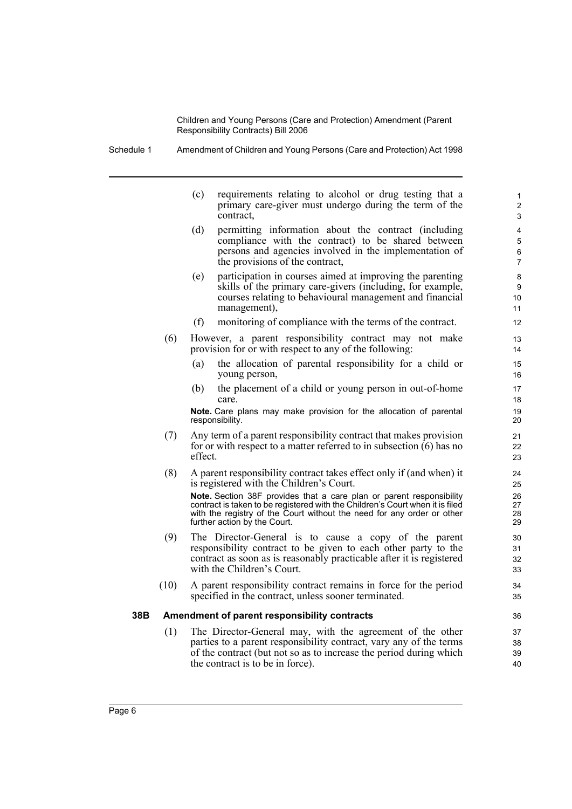Schedule 1 Amendment of Children and Young Persons (Care and Protection) Act 1998

(c) requirements relating to alcohol or drug testing that a primary care-giver must undergo during the term of the contract,

- (d) permitting information about the contract (including compliance with the contract) to be shared between persons and agencies involved in the implementation of the provisions of the contract,
- (e) participation in courses aimed at improving the parenting skills of the primary care-givers (including, for example, courses relating to behavioural management and financial management),
- (f) monitoring of compliance with the terms of the contract.
- (6) However, a parent responsibility contract may not make provision for or with respect to any of the following:
	- (a) the allocation of parental responsibility for a child or young person,
	- (b) the placement of a child or young person in out-of-home care.

**Note.** Care plans may make provision for the allocation of parental responsibility.

- (7) Any term of a parent responsibility contract that makes provision for or with respect to a matter referred to in subsection (6) has no effect.
- (8) A parent responsibility contract takes effect only if (and when) it is registered with the Children's Court.

**Note.** Section 38F provides that a care plan or parent responsibility contract is taken to be registered with the Children's Court when it is filed with the registry of the Court without the need for any order or other further action by the Court.

- (9) The Director-General is to cause a copy of the parent responsibility contract to be given to each other party to the contract as soon as is reasonably practicable after it is registered with the Children's Court.
- (10) A parent responsibility contract remains in force for the period specified in the contract, unless sooner terminated.

#### **38B Amendment of parent responsibility contracts**

(1) The Director-General may, with the agreement of the other parties to a parent responsibility contract, vary any of the terms of the contract (but not so as to increase the period during which the contract is to be in force).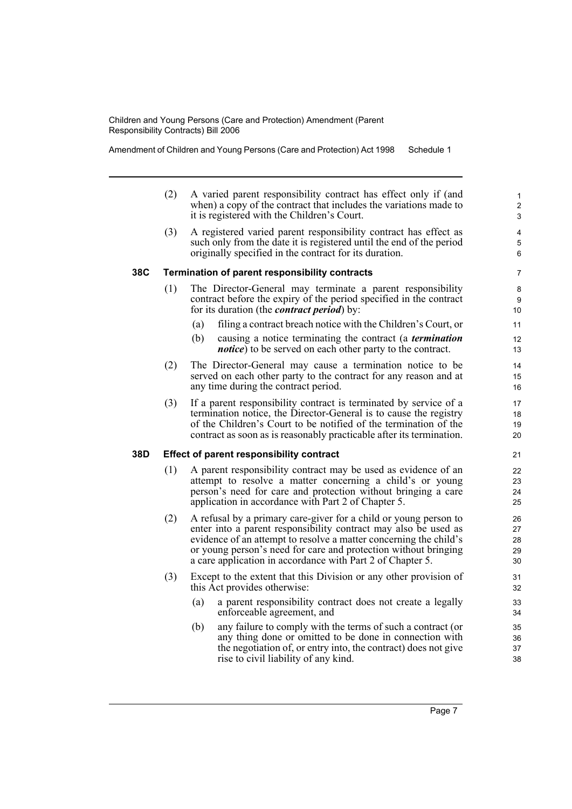Amendment of Children and Young Persons (Care and Protection) Act 1998 Schedule 1

- (2) A varied parent responsibility contract has effect only if (and when) a copy of the contract that includes the variations made to it is registered with the Children's Court.
- (3) A registered varied parent responsibility contract has effect as such only from the date it is registered until the end of the period originally specified in the contract for its duration.

#### **38C Termination of parent responsibility contracts**

- (1) The Director-General may terminate a parent responsibility contract before the expiry of the period specified in the contract for its duration (the *contract period*) by:
	- (a) filing a contract breach notice with the Children's Court, or
	- (b) causing a notice terminating the contract (a *termination notice*) to be served on each other party to the contract.
- (2) The Director-General may cause a termination notice to be served on each other party to the contract for any reason and at any time during the contract period.
- (3) If a parent responsibility contract is terminated by service of a termination notice, the Director-General is to cause the registry of the Children's Court to be notified of the termination of the contract as soon as is reasonably practicable after its termination.

### **38D Effect of parent responsibility contract**

- (1) A parent responsibility contract may be used as evidence of an attempt to resolve a matter concerning a child's or young person's need for care and protection without bringing a care application in accordance with Part 2 of Chapter 5.
- (2) A refusal by a primary care-giver for a child or young person to enter into a parent responsibility contract may also be used as evidence of an attempt to resolve a matter concerning the child's or young person's need for care and protection without bringing a care application in accordance with Part 2 of Chapter 5.
- (3) Except to the extent that this Division or any other provision of this Act provides otherwise:
	- (a) a parent responsibility contract does not create a legally enforceable agreement, and
	- (b) any failure to comply with the terms of such a contract (or any thing done or omitted to be done in connection with the negotiation of, or entry into, the contract) does not give rise to civil liability of any kind.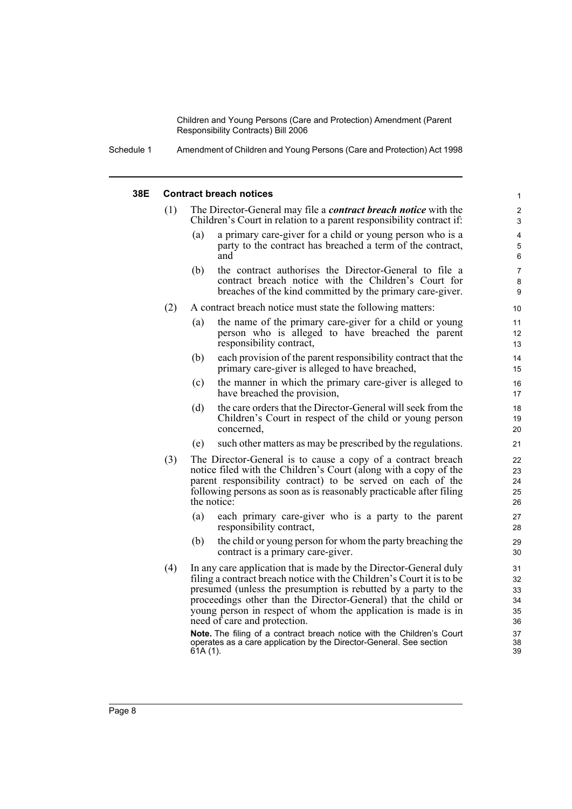Schedule 1 Amendment of Children and Young Persons (Care and Protection) Act 1998

#### **38E Contract breach notices**

| ΙE |     |          | <b>Contract breach notices</b>                                                                                                                                                                                                                                                                                                                                                  | 1                                |
|----|-----|----------|---------------------------------------------------------------------------------------------------------------------------------------------------------------------------------------------------------------------------------------------------------------------------------------------------------------------------------------------------------------------------------|----------------------------------|
|    | (1) |          | The Director-General may file a <i>contract breach notice</i> with the<br>Children's Court in relation to a parent responsibility contract if:                                                                                                                                                                                                                                  | $\overline{2}$<br>3              |
|    |     | (a)      | a primary care-giver for a child or young person who is a<br>party to the contract has breached a term of the contract,<br>and                                                                                                                                                                                                                                                  | $\overline{4}$<br>5<br>6         |
|    |     | (b)      | the contract authorises the Director-General to file a<br>contract breach notice with the Children's Court for<br>breaches of the kind committed by the primary care-giver.                                                                                                                                                                                                     | 7<br>8<br>9                      |
|    | (2) |          | A contract breach notice must state the following matters:                                                                                                                                                                                                                                                                                                                      | 10                               |
|    |     | (a)      | the name of the primary care-giver for a child or young<br>person who is alleged to have breached the parent<br>responsibility contract,                                                                                                                                                                                                                                        | 11<br>12<br>13                   |
|    |     | (b)      | each provision of the parent responsibility contract that the<br>primary care-giver is alleged to have breached,                                                                                                                                                                                                                                                                | 14<br>15                         |
|    |     | (c)      | the manner in which the primary care-giver is alleged to<br>have breached the provision,                                                                                                                                                                                                                                                                                        | 16<br>17                         |
|    |     | (d)      | the care orders that the Director-General will seek from the<br>Children's Court in respect of the child or young person<br>concerned.                                                                                                                                                                                                                                          | 18<br>19<br>20                   |
|    |     | (e)      | such other matters as may be prescribed by the regulations.                                                                                                                                                                                                                                                                                                                     | 21                               |
|    | (3) |          | The Director-General is to cause a copy of a contract breach<br>notice filed with the Children's Court (along with a copy of the<br>parent responsibility contract) to be served on each of the<br>following persons as soon as is reasonably practicable after filing<br>the notice:                                                                                           | 22<br>23<br>24<br>25<br>26       |
|    |     | (a)      | each primary care-giver who is a party to the parent<br>responsibility contract,                                                                                                                                                                                                                                                                                                | 27<br>28                         |
|    |     | (b)      | the child or young person for whom the party breaching the<br>contract is a primary care-giver.                                                                                                                                                                                                                                                                                 | 29<br>30                         |
|    | (4) |          | In any care application that is made by the Director-General duly<br>filing a contract breach notice with the Children's Court it is to be<br>presumed (unless the presumption is rebutted by a party to the<br>proceedings other than the Director-General) that the child or<br>young person in respect of whom the application is made is in<br>need of care and protection. | 31<br>32<br>33<br>34<br>35<br>36 |
|    |     | 61A (1). | Note. The filing of a contract breach notice with the Children's Court<br>operates as a care application by the Director-General. See section                                                                                                                                                                                                                                   | 37<br>38<br>39                   |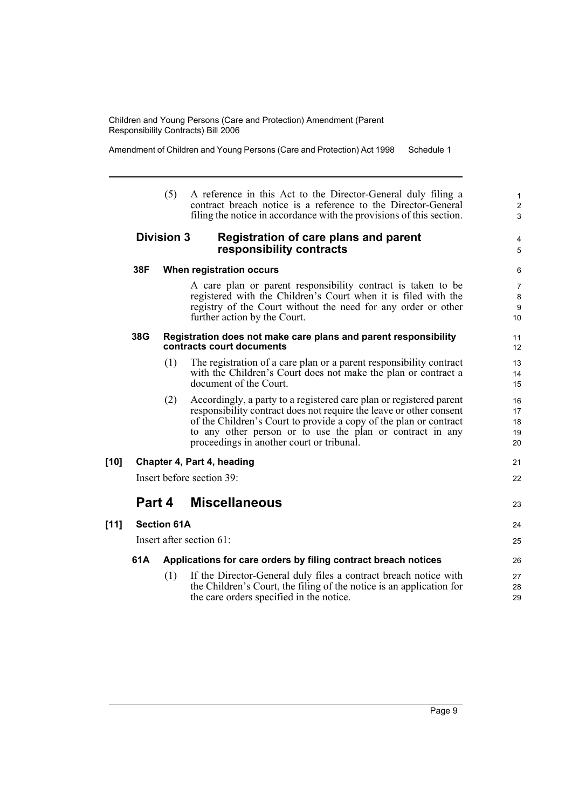Amendment of Children and Young Persons (Care and Protection) Act 1998 Schedule 1

(5) A reference in this Act to the Director-General duly filing a contract breach notice is a reference to the Director-General filing the notice in accordance with the provisions of this section.

#### **Division 3 Registration of care plans and parent responsibility contracts**

### **38F When registration occurs**

A care plan or parent responsibility contract is taken to be registered with the Children's Court when it is filed with the registry of the Court without the need for any order or other further action by the Court.

#### **38G Registration does not make care plans and parent responsibility contracts court documents**

- (1) The registration of a care plan or a parent responsibility contract with the Children's Court does not make the plan or contract a document of the Court.
- (2) Accordingly, a party to a registered care plan or registered parent responsibility contract does not require the leave or other consent of the Children's Court to provide a copy of the plan or contract to any other person or to use the plan or contract in any proceedings in another court or tribunal.

## **[10] Chapter 4, Part 4, heading**

Insert before section 39:

## **Part 4 Miscellaneous**

| [11] | <b>Section 61A</b><br>Insert after section 61: |                                                                                                                                          |  |  |  |  |
|------|------------------------------------------------|------------------------------------------------------------------------------------------------------------------------------------------|--|--|--|--|
|      | 61A                                            | Applications for care orders by filing contract breach notices                                                                           |  |  |  |  |
|      |                                                | If the Director-General duly files a contract breach notice with<br>the Children's Court, the filing of the notice is an application for |  |  |  |  |

the care orders specified in the notice.

1 2 3

4 5

21 22

23

24 25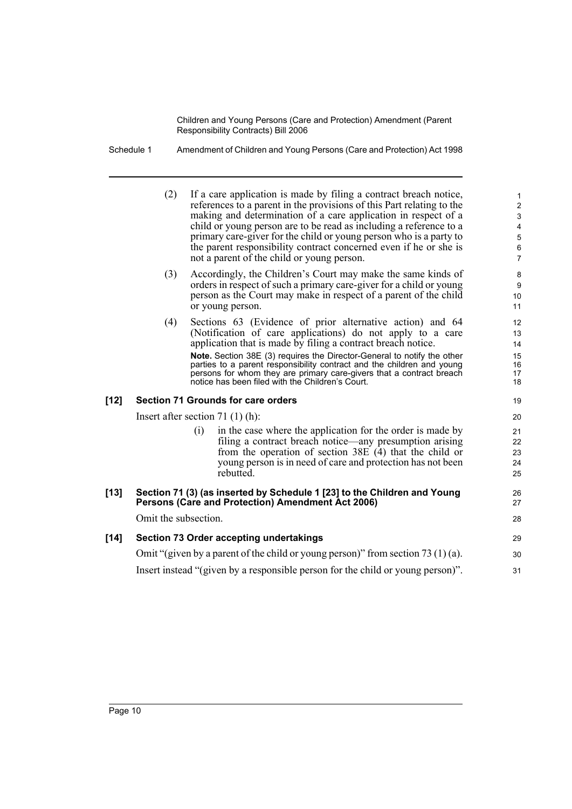Schedule 1 Amendment of Children and Young Persons (Care and Protection) Act 1998

|      | (2)                  |     | If a care application is made by filing a contract breach notice,<br>references to a parent in the provisions of this Part relating to the<br>making and determination of a care application in respect of a<br>child or young person are to be read as including a reference to a<br>primary care-giver for the child or young person who is a party to<br>the parent responsibility contract concerned even if he or she is<br>not a parent of the child or young person. | 1<br>$\overline{c}$<br>$\mathbf{3}$<br>$\overline{\mathbf{4}}$<br>$\overline{5}$<br>$\,6$<br>$\overline{7}$ |
|------|----------------------|-----|-----------------------------------------------------------------------------------------------------------------------------------------------------------------------------------------------------------------------------------------------------------------------------------------------------------------------------------------------------------------------------------------------------------------------------------------------------------------------------|-------------------------------------------------------------------------------------------------------------|
|      | (3)                  |     | Accordingly, the Children's Court may make the same kinds of<br>orders in respect of such a primary care-giver for a child or young<br>person as the Court may make in respect of a parent of the child<br>or young person.                                                                                                                                                                                                                                                 | 8<br>$\boldsymbol{9}$<br>10<br>11                                                                           |
|      | (4)                  |     | Sections 63 (Evidence of prior alternative action) and 64<br>(Notification of care applications) do not apply to a care<br>application that is made by filing a contract breach notice.<br>Note. Section 38E (3) requires the Director-General to notify the other<br>parties to a parent responsibility contract and the children and young<br>persons for whom they are primary care-givers that a contract breach<br>notice has been filed with the Children's Court.    | 12<br>13<br>14<br>15<br>16<br>17<br>18                                                                      |
| [12] |                      |     | <b>Section 71 Grounds for care orders</b>                                                                                                                                                                                                                                                                                                                                                                                                                                   | 19                                                                                                          |
|      |                      |     | Insert after section 71 $(1)$ $(h)$ :                                                                                                                                                                                                                                                                                                                                                                                                                                       | 20                                                                                                          |
|      |                      | (i) | in the case where the application for the order is made by<br>filing a contract breach notice—any presumption arising<br>from the operation of section $38E(4)$ that the child or<br>young person is in need of care and protection has not been<br>rebutted.                                                                                                                                                                                                               | 21<br>22<br>23<br>24<br>25                                                                                  |
| [13] |                      |     | Section 71 (3) (as inserted by Schedule 1 [23] to the Children and Young<br>Persons (Care and Protection) Amendment Act 2006)                                                                                                                                                                                                                                                                                                                                               | 26<br>27                                                                                                    |
|      | Omit the subsection. |     |                                                                                                                                                                                                                                                                                                                                                                                                                                                                             | 28                                                                                                          |
| [14] |                      |     | <b>Section 73 Order accepting undertakings</b>                                                                                                                                                                                                                                                                                                                                                                                                                              | 29                                                                                                          |
|      |                      |     | Omit "(given by a parent of the child or young person)" from section 73 (1) (a).                                                                                                                                                                                                                                                                                                                                                                                            | 30                                                                                                          |
|      |                      |     | Insert instead "(given by a responsible person for the child or young person)".                                                                                                                                                                                                                                                                                                                                                                                             | 31                                                                                                          |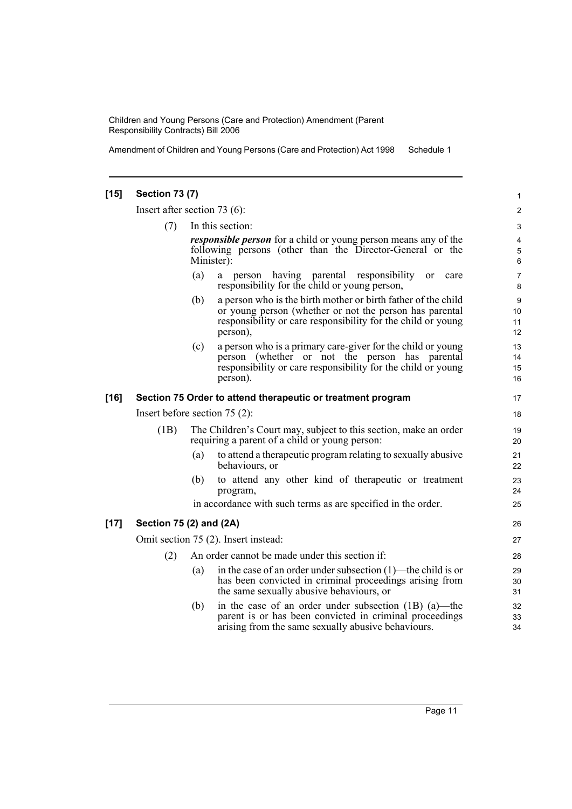Amendment of Children and Young Persons (Care and Protection) Act 1998 Schedule 1

| $[15]$ | <b>Section 73 (7)</b>                |     |                                                                                                                                                                                          | $\mathbf{1}$           |  |
|--------|--------------------------------------|-----|------------------------------------------------------------------------------------------------------------------------------------------------------------------------------------------|------------------------|--|
|        | Insert after section 73 $(6)$ :      |     |                                                                                                                                                                                          | 2                      |  |
|        | (7)                                  |     | In this section:                                                                                                                                                                         | 3                      |  |
|        |                                      |     | <i>responsible person</i> for a child or young person means any of the                                                                                                                   | 4                      |  |
|        |                                      |     | following persons (other than the Director-General or the<br>Minister):                                                                                                                  | $\mathbf 5$<br>$\,6\,$ |  |
|        |                                      | (a) | a person having parental responsibility<br><sub>or</sub><br>care<br>responsibility for the child or young person,                                                                        | 7<br>$\bf 8$           |  |
|        |                                      | (b) | a person who is the birth mother or birth father of the child<br>or young person (whether or not the person has parental<br>responsibility or care responsibility for the child or young | 9<br>10<br>11          |  |
|        |                                      |     | person),                                                                                                                                                                                 | 12                     |  |
|        |                                      | (c) | a person who is a primary care-giver for the child or young<br>person (whether or not the person has parental                                                                            | 13<br>14               |  |
|        |                                      |     | responsibility or care responsibility for the child or young<br>person).                                                                                                                 | 15<br>16               |  |
| $[16]$ |                                      |     | Section 75 Order to attend therapeutic or treatment program                                                                                                                              | 17                     |  |
|        | Insert before section $75(2)$ :      |     |                                                                                                                                                                                          |                        |  |
|        | (1B)                                 |     | The Children's Court may, subject to this section, make an order<br>requiring a parent of a child or young person:                                                                       | 19<br>20               |  |
|        |                                      | (a) | to attend a therapeutic program relating to sexually abusive<br>behaviours, or                                                                                                           | 21<br>22               |  |
|        |                                      | (b) | to attend any other kind of therapeutic or treatment<br>program,                                                                                                                         | 23<br>24               |  |
|        |                                      |     | in accordance with such terms as are specified in the order.                                                                                                                             | 25                     |  |
| $[17]$ | Section 75 (2) and (2A)              |     |                                                                                                                                                                                          | 26                     |  |
|        | Omit section 75 (2). Insert instead: |     |                                                                                                                                                                                          |                        |  |
|        | (2)                                  |     | An order cannot be made under this section if:                                                                                                                                           | 28                     |  |
|        |                                      | (a) | in the case of an order under subsection $(1)$ —the child is or<br>has been convicted in criminal proceedings arising from<br>the same sexually abusive behaviours, or                   | 29<br>30<br>31         |  |
|        |                                      | (b) | in the case of an order under subsection $(1B)$ $(a)$ —the<br>parent is or has been convicted in criminal proceedings<br>arising from the same sexually abusive behaviours.              | 32<br>33<br>34         |  |
|        |                                      |     |                                                                                                                                                                                          |                        |  |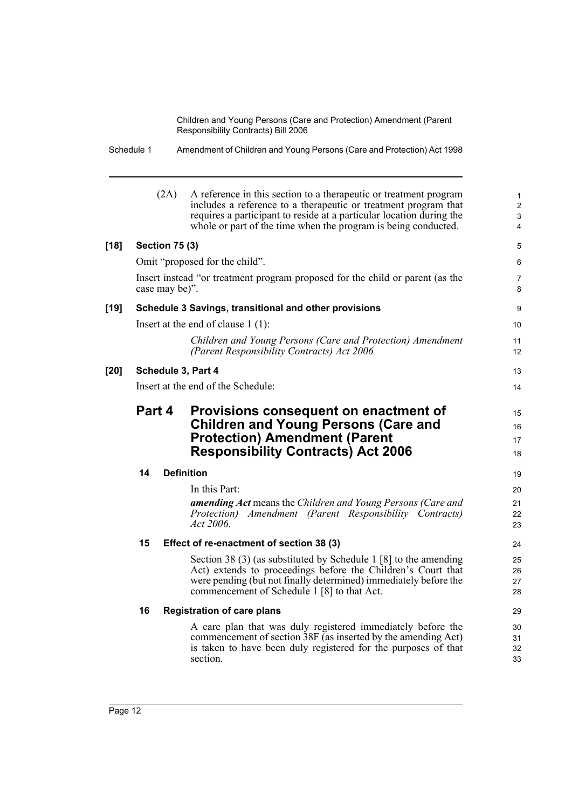|        | Schedule 1                         |                       | Amendment of Children and Young Persons (Care and Protection) Act 1998                                                                                                                                                                                                         |                                          |  |  |
|--------|------------------------------------|-----------------------|--------------------------------------------------------------------------------------------------------------------------------------------------------------------------------------------------------------------------------------------------------------------------------|------------------------------------------|--|--|
|        |                                    | (2A)                  | A reference in this section to a therapeutic or treatment program<br>includes a reference to a therapeutic or treatment program that<br>requires a participant to reside at a particular location during the<br>whole or part of the time when the program is being conducted. | $\mathbf{1}$<br>$\overline{2}$<br>3<br>4 |  |  |
| $[18]$ |                                    | <b>Section 75 (3)</b> |                                                                                                                                                                                                                                                                                | 5                                        |  |  |
|        |                                    |                       | Omit "proposed for the child".                                                                                                                                                                                                                                                 | 6                                        |  |  |
|        |                                    | case may be)".        | Insert instead "or treatment program proposed for the child or parent (as the                                                                                                                                                                                                  | 7<br>8                                   |  |  |
| $[19]$ |                                    |                       | Schedule 3 Savings, transitional and other provisions                                                                                                                                                                                                                          | 9                                        |  |  |
|        |                                    |                       | Insert at the end of clause $1(1)$ :                                                                                                                                                                                                                                           | 10                                       |  |  |
|        |                                    |                       | Children and Young Persons (Care and Protection) Amendment<br>(Parent Responsibility Contracts) Act 2006                                                                                                                                                                       | 11<br>12 <sup>2</sup>                    |  |  |
| $[20]$ |                                    |                       | Schedule 3, Part 4                                                                                                                                                                                                                                                             | 13                                       |  |  |
|        | Insert at the end of the Schedule: |                       |                                                                                                                                                                                                                                                                                |                                          |  |  |
|        | Part 4                             |                       | Provisions consequent on enactment of<br><b>Children and Young Persons (Care and</b><br><b>Protection) Amendment (Parent</b><br><b>Responsibility Contracts) Act 2006</b>                                                                                                      | 15<br>16<br>17<br>18                     |  |  |
|        | 14                                 |                       | <b>Definition</b>                                                                                                                                                                                                                                                              | 19                                       |  |  |
|        |                                    |                       | In this Part:                                                                                                                                                                                                                                                                  | 20                                       |  |  |
|        |                                    |                       | <b>amending Act</b> means the Children and Young Persons (Care and<br>Amendment (Parent Responsibility Contracts)<br>Protection)<br>Act 2006.                                                                                                                                  | 21<br>22<br>23                           |  |  |
|        | 15                                 |                       | Effect of re-enactment of section 38 (3)                                                                                                                                                                                                                                       | 24                                       |  |  |
|        |                                    |                       | Section 38 (3) (as substituted by Schedule 1 [8] to the amending<br>Act) extends to proceedings before the Children's Court that<br>were pending (but not finally determined) immediately before the<br>commencement of Schedule 1 [8] to that Act.                            | 25<br>26<br>27<br>28                     |  |  |
|        | 16                                 |                       | <b>Registration of care plans</b>                                                                                                                                                                                                                                              | 29                                       |  |  |
|        |                                    |                       | A care plan that was duly registered immediately before the<br>commencement of section 38F (as inserted by the amending Act)<br>is taken to have been duly registered for the purposes of that<br>section.                                                                     | 30<br>31<br>32<br>33                     |  |  |
|        |                                    |                       |                                                                                                                                                                                                                                                                                |                                          |  |  |

Page 12